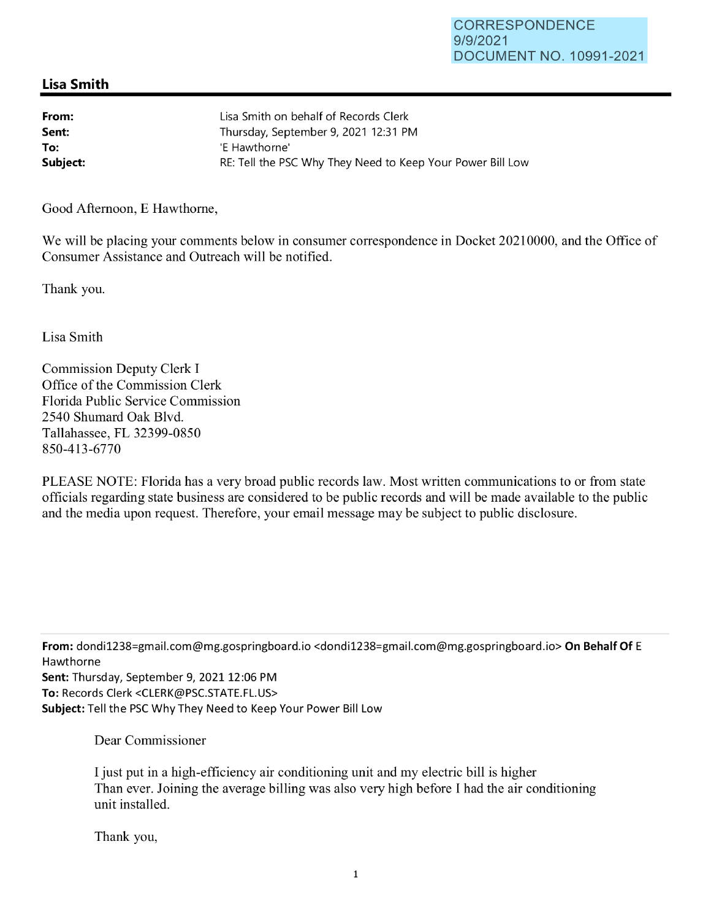## **Lisa Smith**

| From:    | Lisa Smith on behalf of Records Clerk                      |
|----------|------------------------------------------------------------|
| Sent:    | Thursday, September 9, 2021 12:31 PM                       |
| To:      | 'E Hawthorne'                                              |
| Subject: | RE: Tell the PSC Why They Need to Keep Your Power Bill Low |

Good Afternoon, E Hawthorne,

We will be placing your comments below in consumer correspondence in Docket 20210000, and the Office of Consumer Assistance and Outreach will be notified.

Thank you.

Lisa Smith

Commission Deputy Clerk I Office of the Commission Clerk Florida Public Service Commission 2540 Shumard Oak Blvd. Tallahassee, FL 32399-0850 850-413-6770

PLEASE NOTE: Florida has a very broad public records law. Most written communications to or from state officials regarding state business are considered to be public records and will be made available to the public and the media upon request. Therefore, your email message may be subject to public disclosure.

**From:** dondi1238=gmail.com@mg.gospringboard.io <dondi1238=gmail.com@mg.gospringboard.io> **On Behalf Of** E Hawthorne **Sent:** Thursday, September 9, 2021 12:06 PM **To:** Records Clerk <CLERK@PSC.STATE.FL.US> **Subject:** Tell the PSC Why They Need to Keep Your Power Bill Low

Dear Commissioner

I just put in a high-efficiency air conditioning unit and my electric bill is higher Than ever. Joining the average billing was also very high before I had the air conditioning unit installed.

Thank you,